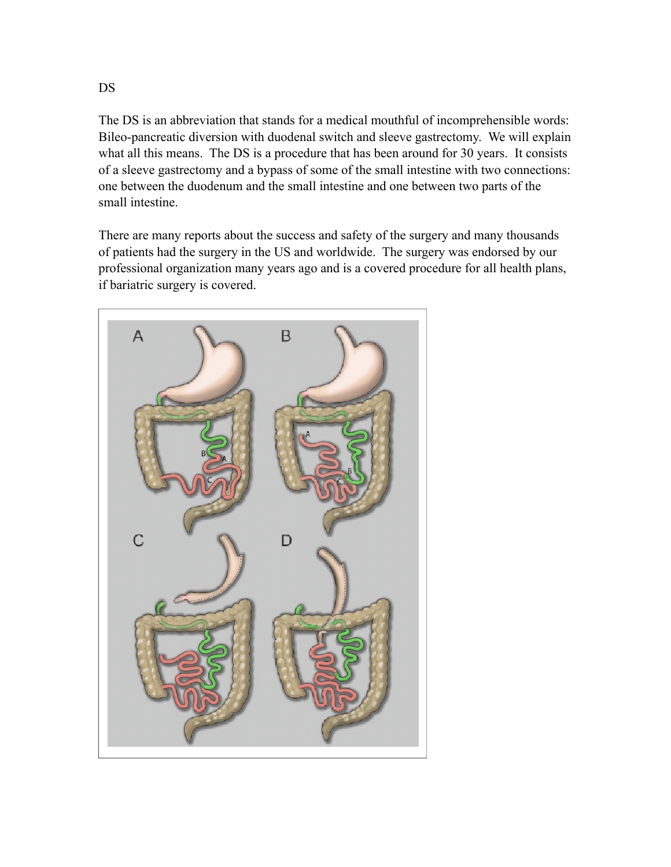The DS is an abbreviation that stands for a medical mouthful of incomprehensible words: Bileo-pancreatic diversion with duodenal switch and sleeve gastrectomy. We will explain what all this means. The DS is a procedure that has been around for 30 years. It consists of a sleeve gastrectomy and a bypass of some of the small intestine with two connections: one between the duodenum and the small intestine and one between two parts of the small intestine.

There are many reports about the success and safety of the surgery and many thousands of patients had the surgery in the US and worldwide. The surgery was endorsed by our professional organization many years ago and is a covered procedure for all health plans, if bariatric surgery is covered.



DS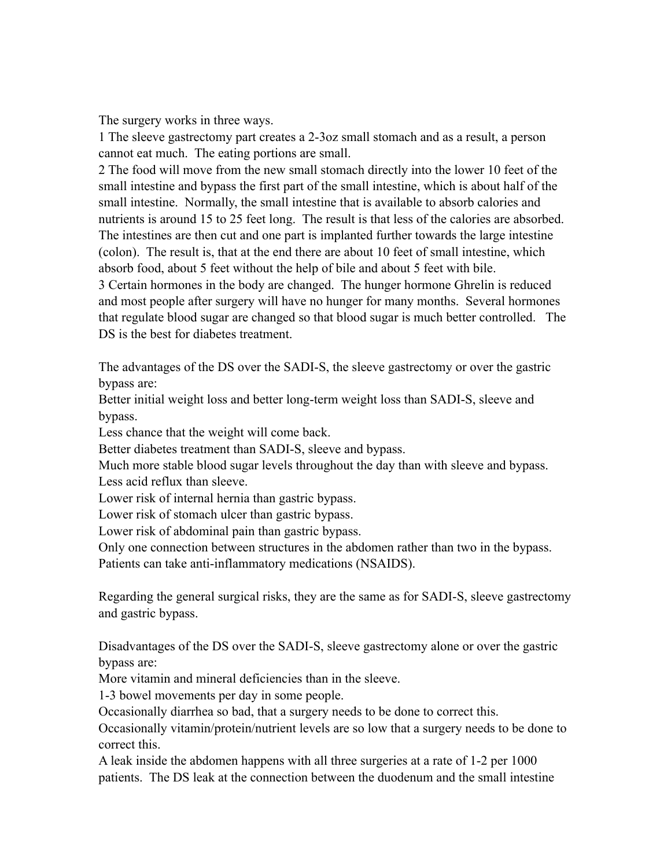The surgery works in three ways.

1 The sleeve gastrectomy part creates a 2-3oz small stomach and as a result, a person cannot eat much. The eating portions are small.

2 The food will move from the new small stomach directly into the lower 10 feet of the small intestine and bypass the first part of the small intestine, which is about half of the small intestine. Normally, the small intestine that is available to absorb calories and nutrients is around 15 to 25 feet long. The result is that less of the calories are absorbed. The intestines are then cut and one part is implanted further towards the large intestine (colon). The result is, that at the end there are about 10 feet of small intestine, which absorb food, about 5 feet without the help of bile and about 5 feet with bile. 3 Certain hormones in the body are changed. The hunger hormone Ghrelin is reduced

and most people after surgery will have no hunger for many months. Several hormones that regulate blood sugar are changed so that blood sugar is much better controlled. The DS is the best for diabetes treatment.

The advantages of the DS over the SADI-S, the sleeve gastrectomy or over the gastric bypass are:

Better initial weight loss and better long-term weight loss than SADI-S, sleeve and bypass.

Less chance that the weight will come back.

Better diabetes treatment than SADI-S, sleeve and bypass.

Much more stable blood sugar levels throughout the day than with sleeve and bypass. Less acid reflux than sleeve.

Lower risk of internal hernia than gastric bypass.

Lower risk of stomach ulcer than gastric bypass.

Lower risk of abdominal pain than gastric bypass.

Only one connection between structures in the abdomen rather than two in the bypass.

Patients can take anti-inflammatory medications (NSAIDS).

Regarding the general surgical risks, they are the same as for SADI-S, sleeve gastrectomy and gastric bypass.

Disadvantages of the DS over the SADI-S, sleeve gastrectomy alone or over the gastric bypass are:

More vitamin and mineral deficiencies than in the sleeve.

1-3 bowel movements per day in some people.

Occasionally diarrhea so bad, that a surgery needs to be done to correct this.

Occasionally vitamin/protein/nutrient levels are so low that a surgery needs to be done to correct this.

A leak inside the abdomen happens with all three surgeries at a rate of 1-2 per 1000 patients. The DS leak at the connection between the duodenum and the small intestine